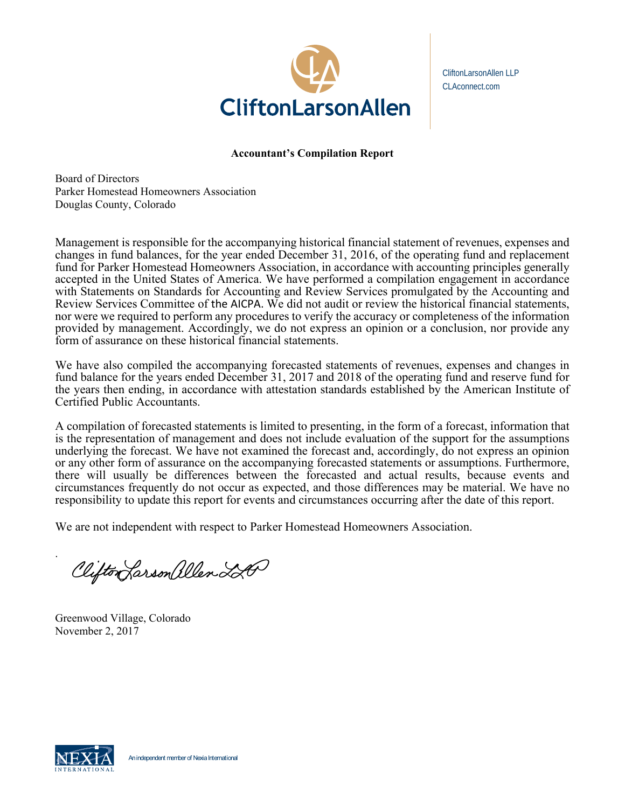

CliftonLarsonAllen LLP CLAconnect.com

# **Accountant's Compilation Report**

Board of Directors Parker Homestead Homeowners Association Douglas County, Colorado

Management is responsible for the accompanying historical financial statement of revenues, expenses and changes in fund balances, for the year ended December 31, 2016, of the operating fund and replacement fund for Parker Homestead Homeowners Association, in accordance with accounting principles generally accepted in the United States of America. We have performed a compilation engagement in accordance with Statements on Standards for Accounting and Review Services promulgated by the Accounting and Review Services Committee of the AICPA. We did not audit or review the historical financial statements, nor were we required to perform any procedures to verify the accuracy or completeness of the information provided by management. Accordingly, we do not express an opinion or a conclusion, nor provide any form of assurance on these historical financial statements.

We have also compiled the accompanying forecasted statements of revenues, expenses and changes in fund balance for the years ended December 31, 2017 and 2018 of the operating fund and reserve fund for the years then ending, in accordance with attestation standards established by the American Institute of Certified Public Accountants.

A compilation of forecasted statements is limited to presenting, in the form of a forecast, information that is the representation of management and does not include evaluation of the support for the assumptions underlying the forecast. We have not examined the forecast and, accordingly, do not express an opinion or any other form of assurance on the accompanying forecasted statements or assumptions. Furthermore, there will usually be differences between the forecasted and actual results, because events and circumstances frequently do not occur as expected, and those differences may be material. We have no responsibility to update this report for events and circumstances occurring after the date of this report.

We are not independent with respect to Parker Homestead Homeowners Association.

Clifton Larson allen LA

Greenwood Village, Colorado Novem ber 2, 2017



.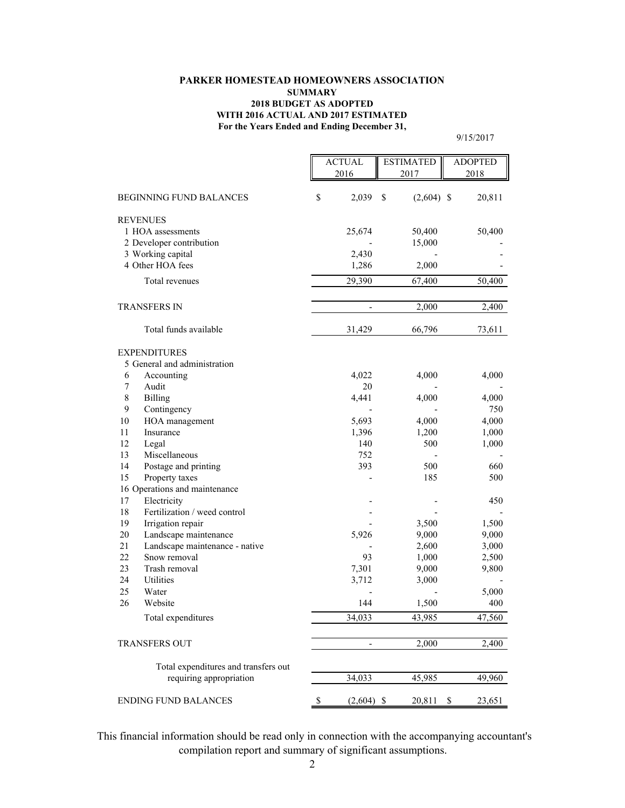#### **For the Years Ended and Ending December 31, PARKER HOMESTEAD HOMEOWNERS ASSOCIATION SUMMARY 2018 BUDGET AS ADOPTED WITH 2016 ACTUAL AND 2017 ESTIMATED**

9/15/2017

|                             |                                              | <b>ACTUAL</b><br>2016 |                          | <b>ESTIMATED</b><br>2017 | <b>ADOPTED</b><br>2018 |        |
|-----------------------------|----------------------------------------------|-----------------------|--------------------------|--------------------------|------------------------|--------|
|                             |                                              |                       |                          |                          |                        |        |
|                             | <b>BEGINNING FUND BALANCES</b>               | \$                    | 2,039                    | \$<br>$(2,604)$ \$       |                        | 20,811 |
| <b>REVENUES</b>             |                                              |                       |                          |                          |                        |        |
| 1 HOA assessments           |                                              |                       | 25,674                   | 50,400                   |                        | 50,400 |
|                             | 2 Developer contribution                     |                       |                          | 15,000                   |                        |        |
| 3 Working capital           |                                              |                       | 2,430                    |                          |                        |        |
| 4 Other HOA fees            |                                              |                       | 1,286                    | 2,000                    |                        |        |
|                             | Total revenues                               |                       | 29,390                   | $\overline{67,}400$      |                        | 50,400 |
| <b>TRANSFERS IN</b>         |                                              |                       | $\overline{\phantom{0}}$ | 2,000                    |                        | 2,400  |
|                             | Total funds available                        |                       | 31,429                   | 66,796                   |                        | 73,611 |
| <b>EXPENDITURES</b>         |                                              |                       |                          |                          |                        |        |
|                             | 5 General and administration                 |                       |                          |                          |                        |        |
| 6                           | Accounting                                   |                       | 4,022                    | 4,000                    |                        | 4,000  |
| 7<br>Audit                  |                                              |                       | 20                       |                          |                        |        |
| 8<br><b>Billing</b>         |                                              |                       | 4,441                    | 4,000                    |                        | 4,000  |
| 9                           | Contingency                                  |                       |                          |                          |                        | 750    |
| 10                          | HOA management                               |                       | 5,693                    | 4,000                    |                        | 4,000  |
| 11                          | Insurance                                    |                       | 1,396                    | 1,200                    |                        | 1,000  |
| 12<br>Legal                 |                                              |                       | 140                      | 500                      |                        | 1,000  |
| 13                          | Miscellaneous                                |                       | 752                      |                          |                        |        |
| 14                          | Postage and printing                         |                       | 393                      | 500                      |                        | 660    |
| 15                          | Property taxes                               |                       |                          | 185                      |                        | 500    |
| 17                          | 16 Operations and maintenance<br>Electricity |                       |                          |                          |                        | 450    |
| 18                          | Fertilization / weed control                 |                       |                          |                          |                        |        |
| 19                          | Irrigation repair                            |                       |                          | 3,500                    |                        | 1,500  |
| 20                          | Landscape maintenance                        |                       | 5,926                    | 9,000                    |                        | 9,000  |
| 21                          | Landscape maintenance - native               |                       |                          | 2,600                    |                        | 3,000  |
| 22                          | Snow removal                                 |                       | 93                       | 1,000                    |                        | 2,500  |
| 23                          | Trash removal                                |                       | 7,301                    | 9,000                    |                        | 9,800  |
| 24<br>Utilities             |                                              |                       | 3,712                    | 3,000                    |                        |        |
| 25<br>Water                 |                                              |                       |                          |                          |                        | 5,000  |
| 26<br>Website               |                                              |                       | 144                      | 1,500                    |                        | 400    |
|                             | Total expenditures                           |                       | 34,033                   | 43,985                   |                        | 47,560 |
| <b>TRANSFERS OUT</b>        |                                              |                       | $\overline{\phantom{m}}$ | 2,000                    |                        | 2,400  |
|                             | Total expenditures and transfers out         |                       |                          |                          |                        |        |
|                             | requiring appropriation                      |                       | 34,033                   | 45,985                   |                        | 49,960 |
|                             |                                              |                       |                          |                          |                        |        |
| <b>ENDING FUND BALANCES</b> |                                              | \$                    | $(2,604)$ \$             | 20,811                   | \$                     | 23,651 |

 This financial information should be read only in connection with the accompanying accountant's compilation report and summary of significant assumptions.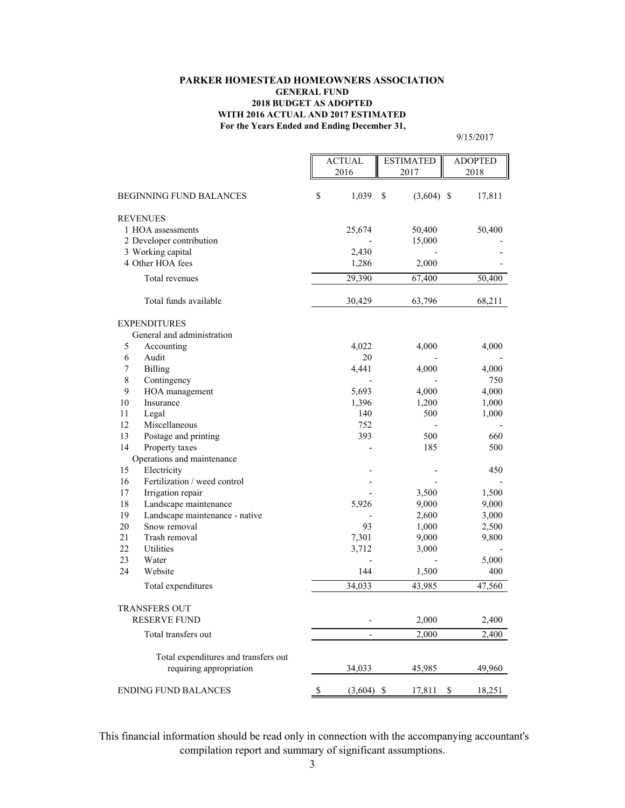#### **For the Years Ended and Ending December 31, PARKER HOMESTEAD HOMEOWNERS ASSOCIATION GENERAL FUND 2018 BUDGET AS ADOPTED WITH 2016 ACTUAL AND 2017 ESTIMATED**

9/15/2017

|                             |                                                         | <b>ACTUAL</b>      | <b>ESTIMATED</b>   | <b>ADOPTED</b> |  |
|-----------------------------|---------------------------------------------------------|--------------------|--------------------|----------------|--|
|                             |                                                         | 2016               | 2017               | 2018           |  |
|                             | <b>BEGINNING FUND BALANCES</b>                          | \$<br>1,039        | \$<br>$(3,604)$ \$ | 17,811         |  |
|                             |                                                         |                    |                    |                |  |
|                             | <b>REVENUES</b><br>1 HOA assessments                    | 25,674             |                    | 50,400         |  |
|                             | 2 Developer contribution                                |                    | 50,400<br>15,000   |                |  |
|                             | 3 Working capital                                       | 2,430              |                    |                |  |
| 4 Other HOA fees            |                                                         | 1,286              | 2,000              |                |  |
|                             | Total revenues                                          | 29,390             | 67,400             | 50,400         |  |
|                             |                                                         |                    |                    |                |  |
|                             | Total funds available                                   | 30,429             | 63,796             | 68,211         |  |
|                             | <b>EXPENDITURES</b>                                     |                    |                    |                |  |
|                             | General and administration                              |                    |                    |                |  |
| 5                           | Accounting                                              | 4,022              | 4,000              | 4,000          |  |
| 6                           | Audit                                                   | 20                 |                    |                |  |
| 7                           | <b>Billing</b>                                          | 4,441              | 4,000              | 4,000          |  |
| $\,8\,$                     | Contingency                                             |                    |                    | 750            |  |
| 9                           | HOA management                                          | 5,693              | 4,000              | 4,000          |  |
| 10                          | Insurance                                               | 1,396              | 1,200              | 1,000          |  |
| 11                          | Legal                                                   | 140                | 500                | 1,000          |  |
| 12                          | Miscellaneous                                           | 752                |                    |                |  |
| 13                          | Postage and printing                                    | 393                | 500                | 660            |  |
| 14                          | Property taxes                                          |                    | 185                | 500            |  |
|                             | Operations and maintenance                              |                    |                    |                |  |
| 15                          | Electricity                                             |                    |                    | 450            |  |
| 16                          | Fertilization / weed control                            |                    |                    |                |  |
| 17<br>18                    | Irrigation repair                                       |                    | 3,500              | 1,500          |  |
| 19                          | Landscape maintenance<br>Landscape maintenance - native | 5,926              | 9,000              | 9,000          |  |
| 20                          | Snow removal                                            | 93                 | 2,600              | 3,000          |  |
| 21                          | Trash removal                                           | 7,301              | 1,000<br>9,000     | 2,500<br>9,800 |  |
| 22                          | Utilities                                               | 3,712              | 3,000              |                |  |
| 23                          | Water                                                   |                    |                    | 5,000          |  |
| 24                          | Website                                                 | 144                | 1,500              | 400            |  |
|                             | Total expenditures                                      | 34,033             | 43,985             | 47,560         |  |
|                             |                                                         |                    |                    |                |  |
|                             | TRANSFERS OUT                                           |                    |                    |                |  |
|                             | <b>RESERVE FUND</b>                                     |                    | 2,000              | 2,400          |  |
|                             | Total transfers out                                     |                    | 2,000              | 2,400          |  |
|                             | Total expenditures and transfers out                    |                    |                    |                |  |
|                             | requiring appropriation                                 | 34,033             | 45,985             | 49,960         |  |
| <b>ENDING FUND BALANCES</b> |                                                         | \$<br>$(3,604)$ \$ | 17,811             | \$<br>18,251   |  |

 This financial information should be read only in connection with the accompanying accountant's compilation report and summary of significant assumptions.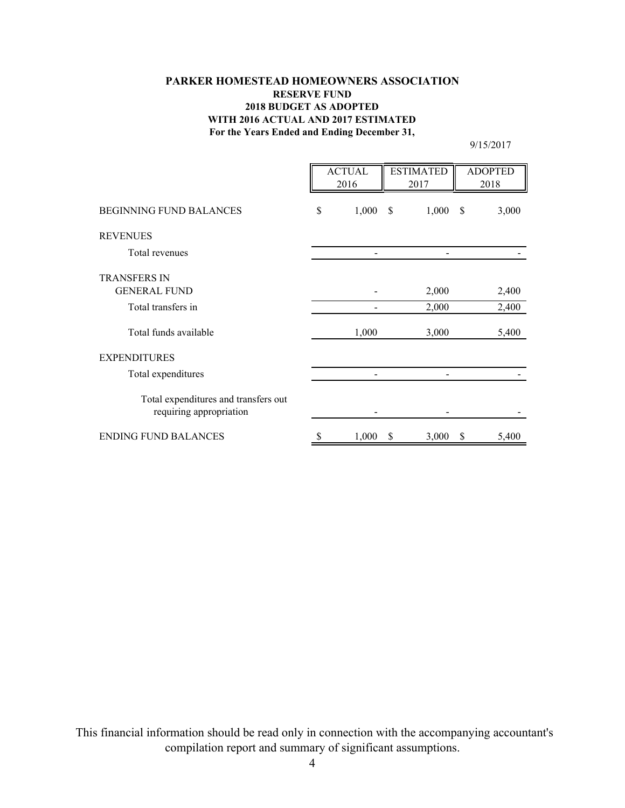# **For the Years Ended and Ending December 31, PARKER HOMESTEAD HOMEOWNERS ASSOCIATION RESERVE FUND 2018 BUDGET AS ADOPTED WITH 2016 ACTUAL AND 2017 ESTIMATED**

9/15/2017

|                                                                 | <b>ACTUAL</b><br>2016 |       | <b>ESTIMATED</b><br>2017 |       | <b>ADOPTED</b><br>2018 |       |
|-----------------------------------------------------------------|-----------------------|-------|--------------------------|-------|------------------------|-------|
| <b>BEGINNING FUND BALANCES</b>                                  | \$                    | 1,000 | \$                       | 1,000 | \$                     | 3,000 |
| <b>REVENUES</b>                                                 |                       |       |                          |       |                        |       |
| Total revenues                                                  |                       |       |                          |       |                        |       |
| <b>TRANSFERS IN</b>                                             |                       |       |                          |       |                        |       |
| <b>GENERAL FUND</b>                                             |                       |       |                          | 2,000 |                        | 2,400 |
| Total transfers in                                              |                       |       |                          | 2,000 |                        | 2,400 |
| Total funds available                                           |                       | 1,000 |                          | 3,000 |                        | 5,400 |
| <b>EXPENDITURES</b>                                             |                       |       |                          |       |                        |       |
| Total expenditures                                              |                       |       |                          |       |                        |       |
| Total expenditures and transfers out<br>requiring appropriation |                       |       |                          |       |                        |       |
| <b>ENDING FUND BALANCES</b>                                     | S                     | 1,000 | \$                       | 3,000 | \$                     | 5,400 |

 This financial information should be read only in connection with the accompanying accountant's compilation report and summary of significant assumptions.